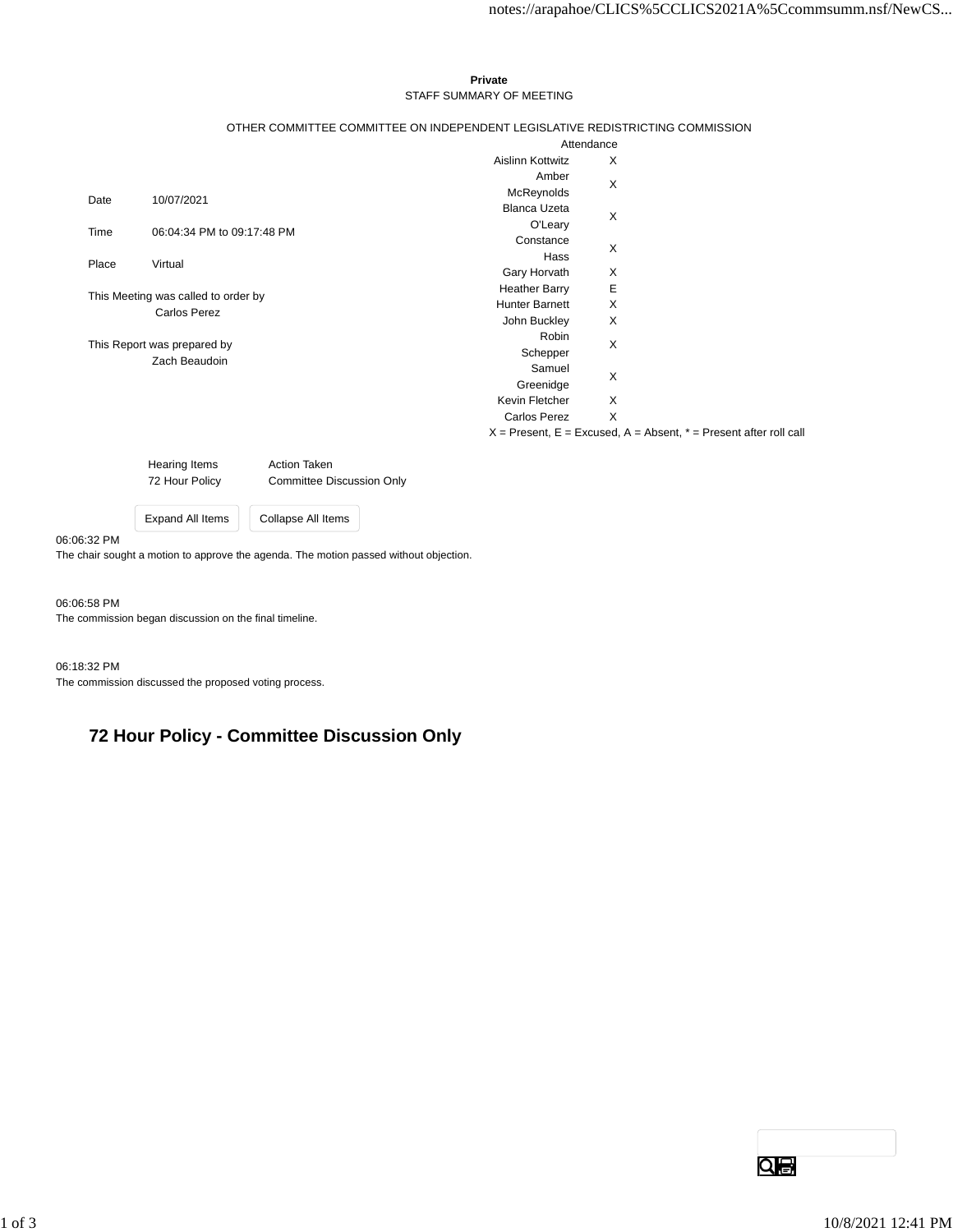### **Private** STAFF SUMMARY OF MEETING

### OTHER COMMITTEE COMMITTEE ON INDEPENDENT LEGISLATIVE REDISTRICTING COMMISSION

|                                                            |                            |                                                                       | Attendance |  |
|------------------------------------------------------------|----------------------------|-----------------------------------------------------------------------|------------|--|
|                                                            |                            | Aislinn Kottwitz                                                      | X          |  |
|                                                            |                            | Amber                                                                 | X          |  |
| Date                                                       | 10/07/2021                 | McReynolds                                                            |            |  |
|                                                            |                            | <b>Blanca Uzeta</b>                                                   | X          |  |
| Time                                                       | 06:04:34 PM to 09:17:48 PM | O'Leary                                                               |            |  |
|                                                            |                            | Constance                                                             | X          |  |
| Place                                                      | Virtual                    | Hass                                                                  |            |  |
|                                                            |                            | Gary Horvath                                                          | X          |  |
| This Meeting was called to order by<br><b>Carlos Perez</b> |                            | <b>Heather Barry</b>                                                  | Е          |  |
|                                                            |                            | <b>Hunter Barnett</b>                                                 | X          |  |
|                                                            |                            | John Buckley                                                          | Х          |  |
| This Report was prepared by<br>Zach Beaudoin               |                            | Robin                                                                 | X          |  |
|                                                            |                            | Schepper                                                              |            |  |
|                                                            |                            | Samuel                                                                | X          |  |
|                                                            |                            | Greenidge                                                             |            |  |
|                                                            |                            | Kevin Fletcher                                                        | X          |  |
|                                                            |                            | <b>Carlos Perez</b>                                                   | X          |  |
|                                                            |                            | $X =$ Present, E = Excused, A = Absent, $* =$ Present after roll call |            |  |

Hearing Items **Action Taken** 72 Hour Policy Committee Discussion Only

Expand All Items Collapse All Items

## 06:06:32 PM

The chair sought a motion to approve the agenda. The motion passed without objection.

#### 06:06:58 PM

The commission began discussion on the final timeline.

# 06:18:32 PM

The commission discussed the proposed voting process.

# **72 Hour Policy - Committee Discussion Only**

 $Q \oplus$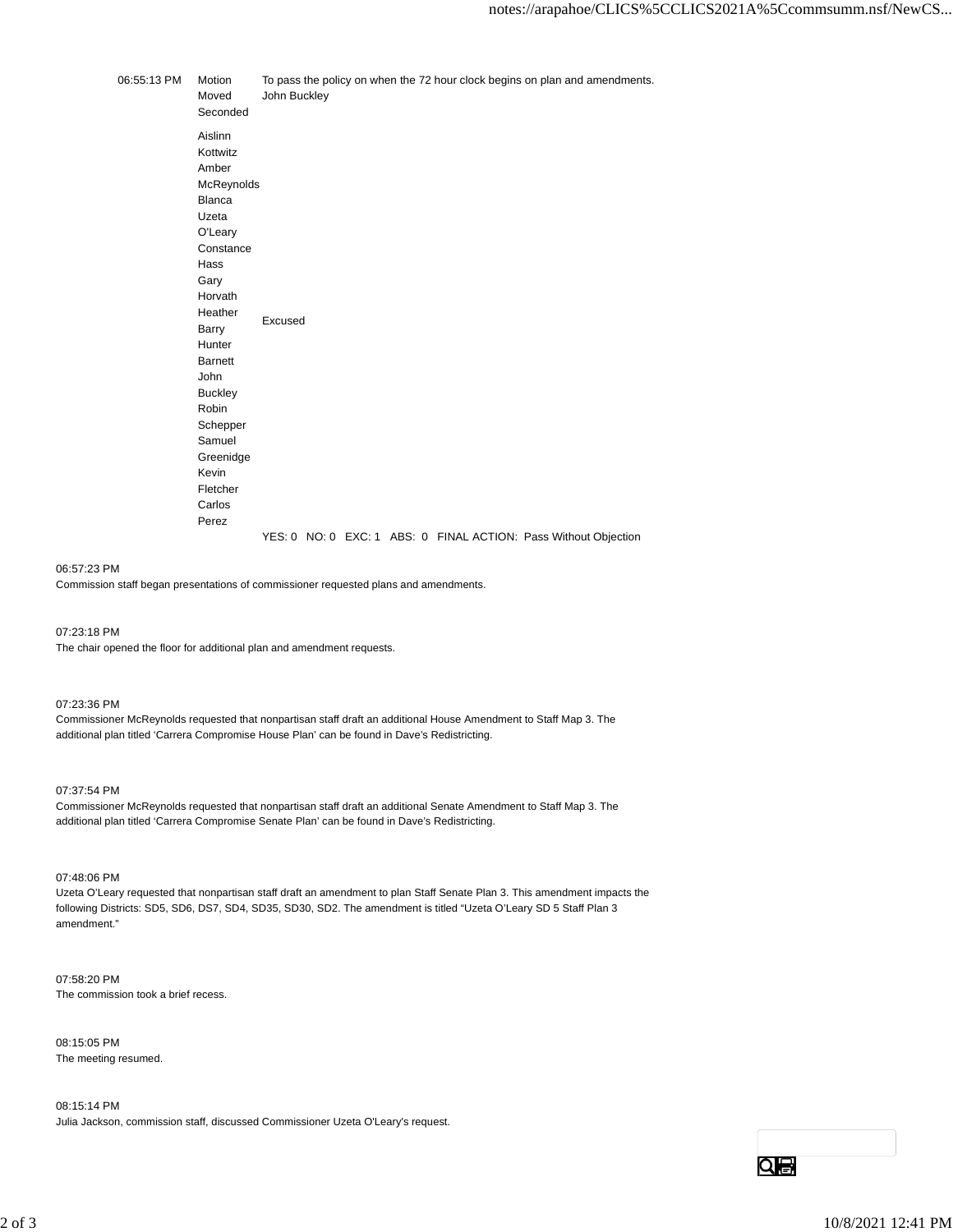06:55:13 PM Motion To pass the policy on when the 72 hour clock begins on plan and amendments. Moved John Buckley Seconded Aislinn Kottwitz Amber McReynolds Blanca Uzeta O'Leary **Constance** Hass Gary Horvath Heather Heatrier Excused<br>Barry Excused **Hunter** Barnett John **Buckley** Robin Schepper Samuel Greenidge Kevin Fletcher Carlos Perez YES: 0 NO: 0 EXC: 1 ABS: 0 FINAL ACTION: Pass Without Objection

#### 06:57:23 PM

Commission staff began presentations of commissioner requested plans and amendments.

07:23:18 PM

The chair opened the floor for additional plan and amendment requests.

07:23:36 PM

Commissioner McReynolds requested that nonpartisan staff draft an additional House Amendment to Staff Map 3. The additional plan titled 'Carrera Compromise House Plan' can be found in Dave's Redistricting.

#### 07:37:54 PM

Commissioner McReynolds requested that nonpartisan staff draft an additional Senate Amendment to Staff Map 3. The additional plan titled 'Carrera Compromise Senate Plan' can be found in Dave's Redistricting.

07:48:06 PM

Uzeta O'Leary requested that nonpartisan staff draft an amendment to plan Staff Senate Plan 3. This amendment impacts the following Districts: SD5, SD6, DS7, SD4, SD35, SD30, SD2. The amendment is titled "Uzeta O'Leary SD 5 Staff Plan 3 amendment."

07:58:20 PM The commission took a brief recess.

08:15:05 PM The meeting resumed.

08:15:14 PM Julia Jackson, commission staff, discussed Commissioner Uzeta O'Leary's request.